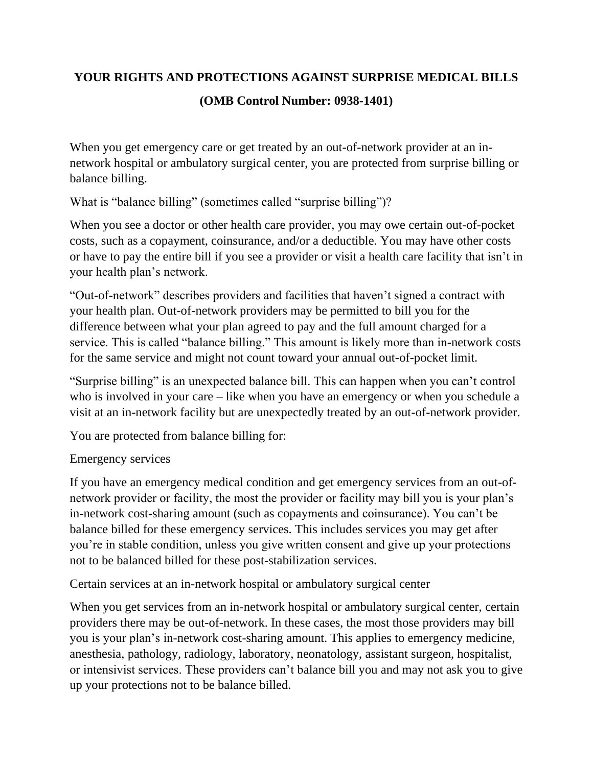## **YOUR RIGHTS AND PROTECTIONS AGAINST SURPRISE MEDICAL BILLS (OMB Control Number: 0938-1401)**

When you get emergency care or get treated by an out-of-network provider at an innetwork hospital or ambulatory surgical center, you are protected from surprise billing or balance billing.

What is "balance billing" (sometimes called "surprise billing")?

When you see a doctor or other health care provider, you may owe certain out-of-pocket costs, such as a copayment, coinsurance, and/or a deductible. You may have other costs or have to pay the entire bill if you see a provider or visit a health care facility that isn't in your health plan's network.

"Out-of-network" describes providers and facilities that haven't signed a contract with your health plan. Out-of-network providers may be permitted to bill you for the difference between what your plan agreed to pay and the full amount charged for a service. This is called "balance billing." This amount is likely more than in-network costs for the same service and might not count toward your annual out-of-pocket limit.

"Surprise billing" is an unexpected balance bill. This can happen when you can't control who is involved in your care – like when you have an emergency or when you schedule a visit at an in-network facility but are unexpectedly treated by an out-of-network provider.

You are protected from balance billing for:

## Emergency services

If you have an emergency medical condition and get emergency services from an out-ofnetwork provider or facility, the most the provider or facility may bill you is your plan's in-network cost-sharing amount (such as copayments and coinsurance). You can't be balance billed for these emergency services. This includes services you may get after you're in stable condition, unless you give written consent and give up your protections not to be balanced billed for these post-stabilization services.

Certain services at an in-network hospital or ambulatory surgical center

When you get services from an in-network hospital or ambulatory surgical center, certain providers there may be out-of-network. In these cases, the most those providers may bill you is your plan's in-network cost-sharing amount. This applies to emergency medicine, anesthesia, pathology, radiology, laboratory, neonatology, assistant surgeon, hospitalist, or intensivist services. These providers can't balance bill you and may not ask you to give up your protections not to be balance billed.